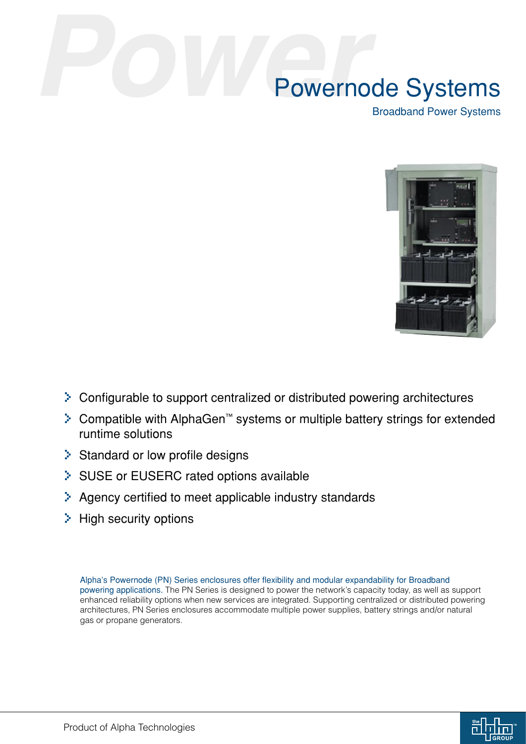Broadband Power Systems



- > Configurable to support centralized or distributed powering architectures
- > Compatible with AlphaGen™ systems or multiple battery strings for extended runtime solutions
- > Standard or low profile designs
- > SUSE or EUSERC rated options available
- > Agency certified to meet applicable industry standards
- > High security options

Alpha's Powernode (PN) Series enclosures offer flexibility and modular expandability for Broadband powering applications. The PN Series is designed to power the network's capacity today, as well as support enhanced reliability options when new services are integrated. Supporting centralized or distributed powering architectures, PN Series enclosures accommodate multiple power supplies, battery strings and/or natural gas or propane generators.

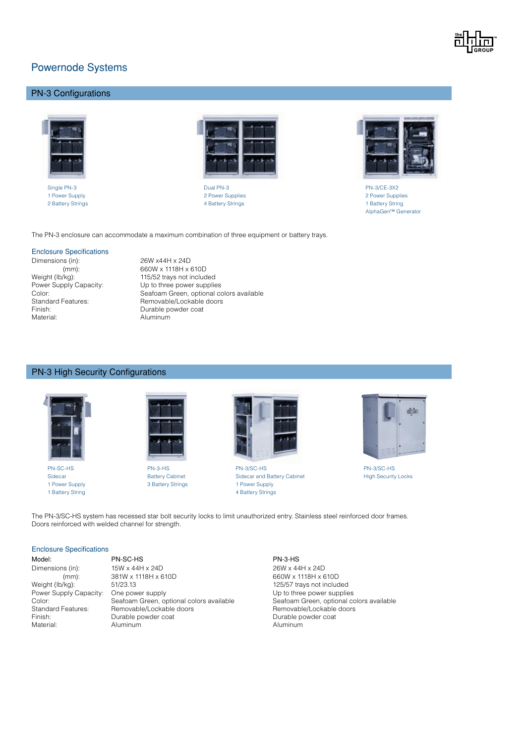

# PN-3 Configurations



2 Battery Strings 4 Battery Strings 1 Battery String



Single PN-3 Dual PN-3 PN-3/CE-3X2 1 Power Supply 2 Power Supplies 2 Power Supplies



AlphaGen™ Generator

The PN-3 enclosure can accommodate a maximum combination of three equipment or battery trays.

#### Enclosure Specifications

Dimensions (in): 26W x44H x 24D (mm): 660W x 1118H x 610D<br>Weight (lb/kg): 115/52 trays not includ Finish: Durable powder coat

Weight (lb/kg):<br>
Power Supply Capacity:<br>
Up to three power supplie Power Supply Capacity: Up to three power supplies<br>
Color: Seafoam Green, optional co Color: Seafoam Green, optional colors available<br>Standard Features: Standard Features: Standard Features: Standard Peatures: Standard B Removable/Lockable doors Aluminum

### PN-3 High Security Configurations





1 Power Supply 1 Power Supply 3 Battery Strings 1 Power Supply



PN-SC-HS PN-3-HS PN-3/SC-HS PN-3/SC-HS Sidecar **Battery Cabinet** Sidecar and Battery Cabinet High Security Locks 1 Battery Strings 4 Battery Strings



The PN-3/SC-HS system has recessed star bolt security locks to limit unauthorized entry. Stainless steel reinforced door frames. Doors reinforced with welded channel for strength.

#### Enclosure Specifications

Model: PN-SC-HS PN-3-HS Dimensions (in): 15W x 44H x 24D 26W x 44H x 24D (mm): 381W x 1118H x 610D 660W x 1118H x 610D 660W x 1118H x 610D 660W x 1118H x 610D Weight (lb/kg): 51/23.13 51/23.13 125/57 trays not included<br>
Power Supply Capacity: One power supply 51/23.13 125/57 trays not included Power Supply Capacity: One power supply <br>Color: Seafoam Green, optional colors available Seafoam Green, optional colors available Color: Seafoam Green, optional colors available Standard Features: Seafoam Green, optional colors available Standard Features: Removable/Lockable doors Removable/Lockable doors Removable/Lockable doors Finish: Camerable powder coat Communist Communist Communist Communist Communist Communist Communist Communist Communist Communist Communist Communist Communist Communist Communist Communist Communist Communist Communist Co Aluminum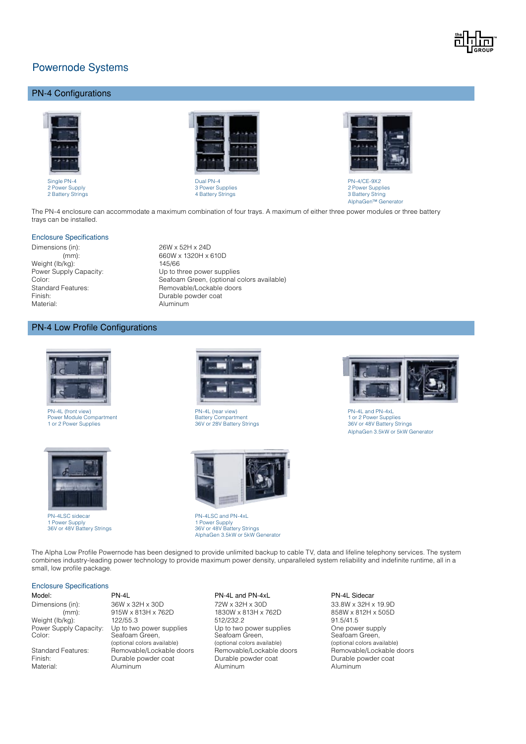

## PN-4 Configurations



Single PN-4 PN-4/CE-9X2



2 Power Supplies<br>
2 Power Supplies<br>
2 Battery String 3 Power Supplies<br>
2 Battery String 3 Battery String 3 Battery String



4 Battery Strings 3 Battery Strings 3 Battery String AlphaGen™ Generator

The PN-4 enclosure can accommodate a maximum combination of four trays. A maximum of either three power modules or three battery trays can be installed.

#### Enclosure Specifications

Dimensions (in): 26W x 52H x 24D Weight (lb/kg): 145/66 Material: Aluminum

 (mm): 660W x 1320H x 610D Power Supply Capacity: Up to three power supplies Color: Seafoam Green, (optional colors available)<br>
Standard Features: Standard Features: Standard Features: Standard Features: Standard Peatures: Standard Peacu Standard Features: <br>
Finish: Contable doors<br>
Finish: Contable powder coat Durable powder coat

#### PN-4 Low Profile Configurations



PN-4L (front view) PN-4L (rear view) PN-4L and PN-4xL Power Module Compartment 1 and 1 or 2 Power Supplies<br>1 or 2 Power Supplies 1 or 28V or 28V Battery Strings 1 or 28V Battery Strings 1 and 2 Bower Supplies 1 and 2



PN-4LSC sidecar PN-4LSC and PN-4xL





1 Power Supply 1 Power Supply 36V or 48V Battery Strings 36V or 48V Battery Strings AlphaGen 3.5kW or 5kW Generator



AlphaGen 3.5kW or 5kW Generator

The Alpha Low Profile Powernode has been designed to provide unlimited backup to cable TV, data and lifeline telephony services. The system combines industry-leading power technology to provide maximum power density, unparalleled system reliability and indefinite runtime, all in a small, low profile package.

#### Enclosure Specifications

| Model:                 |
|------------------------|
| Dimensions (in):       |
| $(mm)$ :               |
| Weight (lb/kg):        |
| Power Supply Capacity: |
| Color:                 |
| Standard Features:     |
|                        |
| Finish:                |
| Material·              |

 $36W \times 32H \times 30D$ <br>36W x 313H x 762D 315W x 313H x 762D 315W x 812H x 505D 315W x 812H x 505D Weight (lb/kg): 122/55.3 512/232.2 91.5/41.5 **Power Supplies** Up to two power supplies Up to two power supplies Cone power supply<br>
Capacity: Capacity: One power supplies<br>
One power supplies One power supplies<br>
One power supplies<br>
One power supplies<br>
One power supplie Seafoam Green, Seafoam Green, Seafoam Green, Seafoam Green, Seafoam Green, Seafoam Green, Seafoam Green, Seafoam Green, Seafoam Green, Seafoam Green, Seafoam Green, Seafoam Green, Seafoam Green, Seafoam Green, Seafoam Gree Removable/Lockable doors<br>
Removable/Lockable doors<br>
Durable powder coat<br>
Durable powder coat<br>
Durable powder coat<br>
Removable doors<br>
Removable/Lockable doors<br>
Removable/Lockable doors Durable powder coat Material: Aluminum Aluminum Aluminum

PN-4L PN-4L and PN-4xL PN-4L Sidecar 1830W x 813H x 762D (optional colors available) (optional colors available) (optional colors available)